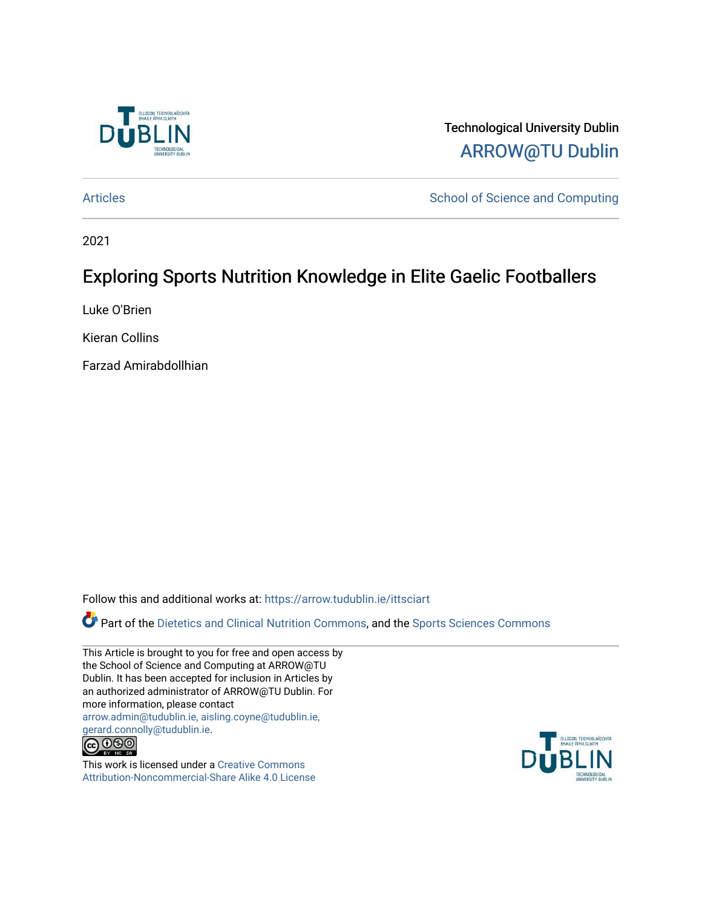

Technological University Dublin [ARROW@TU Dublin](https://arrow.tudublin.ie/) 

[Articles](https://arrow.tudublin.ie/ittsciart) **School of Science and Computing** 

2021

# Exploring Sports Nutrition Knowledge in Elite Gaelic Footballers

Luke O'Brien

Kieran Collins

Farzad Amirabdollhian

Follow this and additional works at: [https://arrow.tudublin.ie/ittsciart](https://arrow.tudublin.ie/ittsciart?utm_source=arrow.tudublin.ie%2Fittsciart%2F133&utm_medium=PDF&utm_campaign=PDFCoverPages)

Part of the [Dietetics and Clinical Nutrition Commons,](http://network.bepress.com/hgg/discipline/662?utm_source=arrow.tudublin.ie%2Fittsciart%2F133&utm_medium=PDF&utm_campaign=PDFCoverPages) and the [Sports Sciences Commons](http://network.bepress.com/hgg/discipline/759?utm_source=arrow.tudublin.ie%2Fittsciart%2F133&utm_medium=PDF&utm_campaign=PDFCoverPages)

This Article is brought to you for free and open access by the School of Science and Computing at ARROW@TU Dublin. It has been accepted for inclusion in Articles by an authorized administrator of ARROW@TU Dublin. For more information, please contact [arrow.admin@tudublin.ie, aisling.coyne@tudublin.ie,](mailto:arrow.admin@tudublin.ie,%20aisling.coyne@tudublin.ie,%20gerard.connolly@tudublin.ie)  [gerard.connolly@tudublin.ie](mailto:arrow.admin@tudublin.ie,%20aisling.coyne@tudublin.ie,%20gerard.connolly@tudublin.ie).



This work is licensed under a [Creative Commons](http://creativecommons.org/licenses/by-nc-sa/4.0/) [Attribution-Noncommercial-Share Alike 4.0 License](http://creativecommons.org/licenses/by-nc-sa/4.0/)

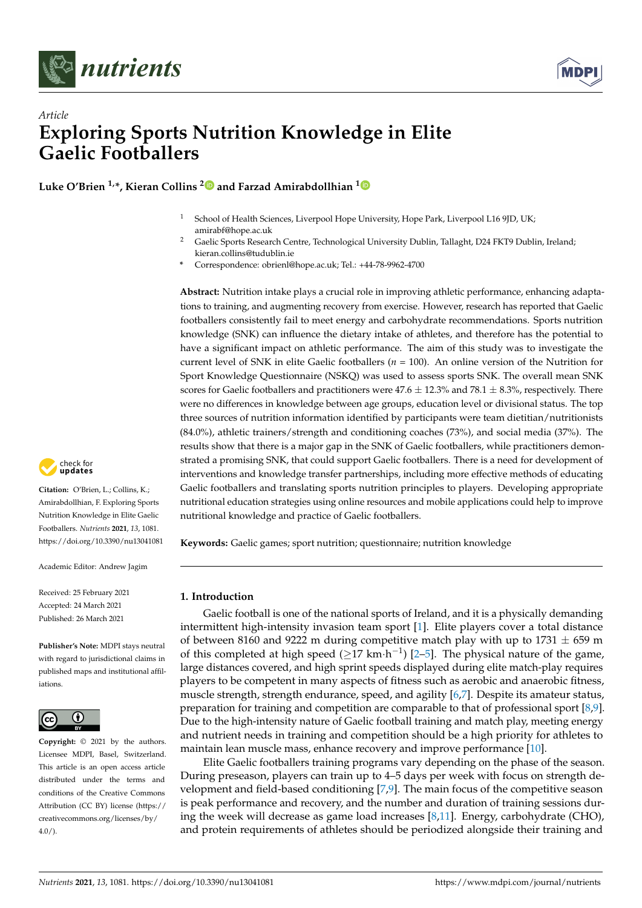



## *Article* **Exploring Sports Nutrition Knowledge in Elite Gaelic Footballers**

**Luke O'Brien 1,\*, Kieran Collins [2](https://orcid.org/0000-0003-1653-2071) and Farzad Amirabdollhian [1](https://orcid.org/0000-0003-1937-4128)**

- <sup>1</sup> School of Health Sciences, Liverpool Hope University, Hope Park, Liverpool L16 9JD, UK; amirabf@hope.ac.uk
- <sup>2</sup> Gaelic Sports Research Centre, Technological University Dublin, Tallaght, D24 FKT9 Dublin, Ireland; kieran.collins@tudublin.ie
- **\*** Correspondence: obrienl@hope.ac.uk; Tel.: +44-78-9962-4700

**Abstract:** Nutrition intake plays a crucial role in improving athletic performance, enhancing adaptations to training, and augmenting recovery from exercise. However, research has reported that Gaelic footballers consistently fail to meet energy and carbohydrate recommendations. Sports nutrition knowledge (SNK) can influence the dietary intake of athletes, and therefore has the potential to have a significant impact on athletic performance. The aim of this study was to investigate the current level of SNK in elite Gaelic footballers (*n* = 100). An online version of the Nutrition for Sport Knowledge Questionnaire (NSKQ) was used to assess sports SNK. The overall mean SNK scores for Gaelic footballers and practitioners were  $47.6 \pm 12.3\%$  and  $78.1 \pm 8.3\%$ , respectively. There were no differences in knowledge between age groups, education level or divisional status. The top three sources of nutrition information identified by participants were team dietitian/nutritionists (84.0%), athletic trainers/strength and conditioning coaches (73%), and social media (37%). The results show that there is a major gap in the SNK of Gaelic footballers, while practitioners demonstrated a promising SNK, that could support Gaelic footballers. There is a need for development of interventions and knowledge transfer partnerships, including more effective methods of educating Gaelic footballers and translating sports nutrition principles to players. Developing appropriate nutritional education strategies using online resources and mobile applications could help to improve nutritional knowledge and practice of Gaelic footballers.

**Keywords:** Gaelic games; sport nutrition; questionnaire; nutrition knowledge

## **1. Introduction**

Gaelic football is one of the national sports of Ireland, and it is a physically demanding intermittent high-intensity invasion team sport [\[1\]](#page-9-0). Elite players cover a total distance of between 8160 and 9222 m during competitive match play with up to 1731  $\pm$  659 m of this completed at high speed  $(\geq 17 \text{ km} \cdot \text{h}^{-1})$  [\[2](#page-9-1)[–5\]](#page-9-2). The physical nature of the game, large distances covered, and high sprint speeds displayed during elite match-play requires players to be competent in many aspects of fitness such as aerobic and anaerobic fitness, muscle strength, strength endurance, speed, and agility [\[6,](#page-9-3)[7\]](#page-9-4). Despite its amateur status, preparation for training and competition are comparable to that of professional sport [\[8](#page-9-5)[,9\]](#page-9-6). Due to the high-intensity nature of Gaelic football training and match play, meeting energy and nutrient needs in training and competition should be a high priority for athletes to maintain lean muscle mass, enhance recovery and improve performance [\[10\]](#page-9-7).

Elite Gaelic footballers training programs vary depending on the phase of the season. During preseason, players can train up to 4–5 days per week with focus on strength development and field-based conditioning [\[7](#page-9-4)[,9\]](#page-9-6). The main focus of the competitive season is peak performance and recovery, and the number and duration of training sessions during the week will decrease as game load increases [\[8,](#page-9-5)[11\]](#page-9-8). Energy, carbohydrate (CHO), and protein requirements of athletes should be periodized alongside their training and



**Citation:** O'Brien, L.; Collins, K.; Amirabdollhian, F. Exploring Sports Nutrition Knowledge in Elite Gaelic Footballers. *Nutrients* **2021**, *13*, 1081. <https://doi.org/10.3390/nu13041081>

Academic Editor: Andrew Jagim

Received: 25 February 2021 Accepted: 24 March 2021 Published: 26 March 2021

**Publisher's Note:** MDPI stays neutral with regard to jurisdictional claims in published maps and institutional affiliations.



**Copyright:** © 2021 by the authors. Licensee MDPI, Basel, Switzerland. This article is an open access article distributed under the terms and conditions of the Creative Commons Attribution (CC BY) license (https:/[/](https://creativecommons.org/licenses/by/4.0/) [creativecommons.org/licenses/by/](https://creativecommons.org/licenses/by/4.0/)  $4.0/$ ).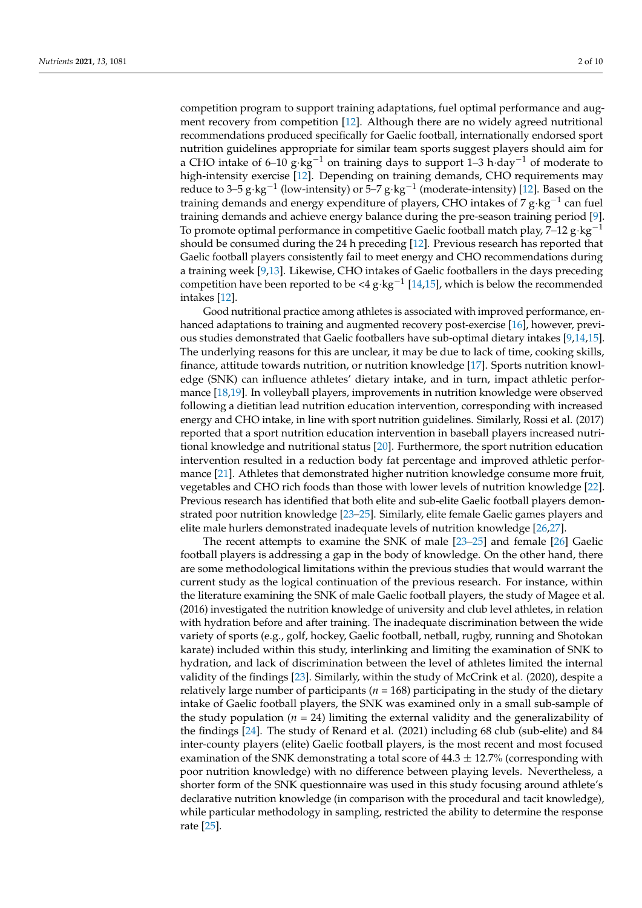competition program to support training adaptations, fuel optimal performance and augment recovery from competition [\[12\]](#page-9-9). Although there are no widely agreed nutritional recommendations produced specifically for Gaelic football, internationally endorsed sport nutrition guidelines appropriate for similar team sports suggest players should aim for a CHO intake of 6–10 g⋅kg<sup>-1</sup> on training days to support 1–3 h⋅day<sup>-1</sup> of moderate to high-intensity exercise [\[12\]](#page-9-9). Depending on training demands, CHO requirements may reduce to 3–5 g⋅kg<sup>-1</sup> (low-intensity) or 5–7 g⋅kg<sup>-1</sup> (moderate-intensity) [\[12\]](#page-9-9). Based on the training demands and energy expenditure of players, CHO intakes of 7 g⋅kg<sup>-1</sup> can fuel training demands and achieve energy balance during the pre-season training period [\[9\]](#page-9-6). To promote optimal performance in competitive Gaelic football match play, 7–12 g·kg−<sup>1</sup> should be consumed during the 24 h preceding [\[12\]](#page-9-9). Previous research has reported that Gaelic football players consistently fail to meet energy and CHO recommendations during a training week [\[9](#page-9-6)[,13\]](#page-9-10). Likewise, CHO intakes of Gaelic footballers in the days preceding competition have been reported to be <4  $g$ ⋅ $kg^{-1}$  [\[14,](#page-9-11)[15\]](#page-9-12), which is below the recommended intakes [\[12\]](#page-9-9).

Good nutritional practice among athletes is associated with improved performance, enhanced adaptations to training and augmented recovery post-exercise [\[16\]](#page-9-13), however, previous studies demonstrated that Gaelic footballers have sub-optimal dietary intakes [\[9,](#page-9-6)[14](#page-9-11)[,15\]](#page-9-12). The underlying reasons for this are unclear, it may be due to lack of time, cooking skills, finance, attitude towards nutrition, or nutrition knowledge [\[17\]](#page-9-14). Sports nutrition knowledge (SNK) can influence athletes' dietary intake, and in turn, impact athletic performance [\[18](#page-9-15)[,19\]](#page-9-16). In volleyball players, improvements in nutrition knowledge were observed following a dietitian lead nutrition education intervention, corresponding with increased energy and CHO intake, in line with sport nutrition guidelines. Similarly, Rossi et al. (2017) reported that a sport nutrition education intervention in baseball players increased nutritional knowledge and nutritional status [\[20\]](#page-9-17). Furthermore, the sport nutrition education intervention resulted in a reduction body fat percentage and improved athletic performance [\[21\]](#page-9-18). Athletes that demonstrated higher nutrition knowledge consume more fruit, vegetables and CHO rich foods than those with lower levels of nutrition knowledge [\[22\]](#page-9-19). Previous research has identified that both elite and sub-elite Gaelic football players demonstrated poor nutrition knowledge [\[23](#page-9-20)[–25\]](#page-10-0). Similarly, elite female Gaelic games players and elite male hurlers demonstrated inadequate levels of nutrition knowledge [\[26](#page-10-1)[,27\]](#page-10-2).

The recent attempts to examine the SNK of male [\[23](#page-9-20)[–25\]](#page-10-0) and female [\[26\]](#page-10-1) Gaelic football players is addressing a gap in the body of knowledge. On the other hand, there are some methodological limitations within the previous studies that would warrant the current study as the logical continuation of the previous research. For instance, within the literature examining the SNK of male Gaelic football players, the study of Magee et al. (2016) investigated the nutrition knowledge of university and club level athletes, in relation with hydration before and after training. The inadequate discrimination between the wide variety of sports (e.g., golf, hockey, Gaelic football, netball, rugby, running and Shotokan karate) included within this study, interlinking and limiting the examination of SNK to hydration, and lack of discrimination between the level of athletes limited the internal validity of the findings [\[23\]](#page-9-20). Similarly, within the study of McCrink et al. (2020), despite a relatively large number of participants (*n* = 168) participating in the study of the dietary intake of Gaelic football players, the SNK was examined only in a small sub-sample of the study population ( $n = 24$ ) limiting the external validity and the generalizability of the findings [\[24\]](#page-10-3). The study of Renard et al. (2021) including 68 club (sub-elite) and 84 inter-county players (elite) Gaelic football players, is the most recent and most focused examination of the SNK demonstrating a total score of  $44.3 \pm 12.7\%$  (corresponding with poor nutrition knowledge) with no difference between playing levels. Nevertheless, a shorter form of the SNK questionnaire was used in this study focusing around athlete's declarative nutrition knowledge (in comparison with the procedural and tacit knowledge), while particular methodology in sampling, restricted the ability to determine the response rate [\[25\]](#page-10-0).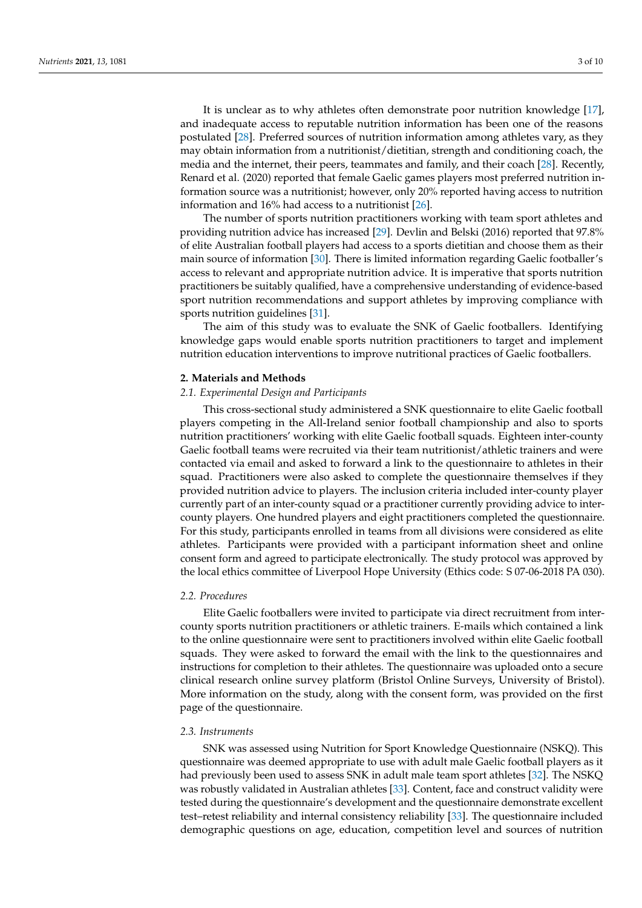It is unclear as to why athletes often demonstrate poor nutrition knowledge [\[17\]](#page-9-14), and inadequate access to reputable nutrition information has been one of the reasons postulated [\[28\]](#page-10-4). Preferred sources of nutrition information among athletes vary, as they may obtain information from a nutritionist/dietitian, strength and conditioning coach, the media and the internet, their peers, teammates and family, and their coach [\[28\]](#page-10-4). Recently, Renard et al. (2020) reported that female Gaelic games players most preferred nutrition information source was a nutritionist; however, only 20% reported having access to nutrition information and 16% had access to a nutritionist [\[26\]](#page-10-1).

The number of sports nutrition practitioners working with team sport athletes and providing nutrition advice has increased [\[29\]](#page-10-5). Devlin and Belski (2016) reported that 97.8% of elite Australian football players had access to a sports dietitian and choose them as their main source of information [\[30\]](#page-10-6). There is limited information regarding Gaelic footballer's access to relevant and appropriate nutrition advice. It is imperative that sports nutrition practitioners be suitably qualified, have a comprehensive understanding of evidence-based sport nutrition recommendations and support athletes by improving compliance with sports nutrition guidelines [\[31\]](#page-10-7).

The aim of this study was to evaluate the SNK of Gaelic footballers. Identifying knowledge gaps would enable sports nutrition practitioners to target and implement nutrition education interventions to improve nutritional practices of Gaelic footballers.

#### **2. Materials and Methods**

#### *2.1. Experimental Design and Participants*

This cross-sectional study administered a SNK questionnaire to elite Gaelic football players competing in the All-Ireland senior football championship and also to sports nutrition practitioners' working with elite Gaelic football squads. Eighteen inter-county Gaelic football teams were recruited via their team nutritionist/athletic trainers and were contacted via email and asked to forward a link to the questionnaire to athletes in their squad. Practitioners were also asked to complete the questionnaire themselves if they provided nutrition advice to players. The inclusion criteria included inter-county player currently part of an inter-county squad or a practitioner currently providing advice to intercounty players. One hundred players and eight practitioners completed the questionnaire. For this study, participants enrolled in teams from all divisions were considered as elite athletes. Participants were provided with a participant information sheet and online consent form and agreed to participate electronically. The study protocol was approved by the local ethics committee of Liverpool Hope University (Ethics code: S 07-06-2018 PA 030).

## *2.2. Procedures*

Elite Gaelic footballers were invited to participate via direct recruitment from intercounty sports nutrition practitioners or athletic trainers. E-mails which contained a link to the online questionnaire were sent to practitioners involved within elite Gaelic football squads. They were asked to forward the email with the link to the questionnaires and instructions for completion to their athletes. The questionnaire was uploaded onto a secure clinical research online survey platform (Bristol Online Surveys, University of Bristol). More information on the study, along with the consent form, was provided on the first page of the questionnaire.

#### *2.3. Instruments*

SNK was assessed using Nutrition for Sport Knowledge Questionnaire (NSKQ). This questionnaire was deemed appropriate to use with adult male Gaelic football players as it had previously been used to assess SNK in adult male team sport athletes [\[32\]](#page-10-8). The NSKQ was robustly validated in Australian athletes [\[33\]](#page-10-9). Content, face and construct validity were tested during the questionnaire's development and the questionnaire demonstrate excellent test–retest reliability and internal consistency reliability [\[33\]](#page-10-9). The questionnaire included demographic questions on age, education, competition level and sources of nutrition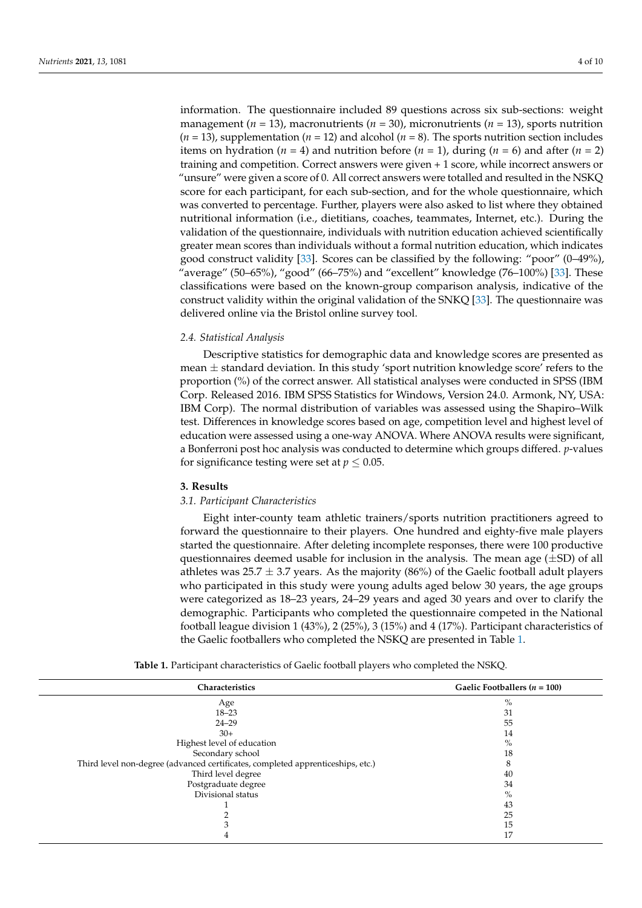information. The questionnaire included 89 questions across six sub-sections: weight management (*n* = 13), macronutrients (*n* = 30), micronutrients (*n* = 13), sports nutrition  $(n = 13)$ , supplementation  $(n = 12)$  and alcohol  $(n = 8)$ . The sports nutrition section includes items on hydration ( $n = 4$ ) and nutrition before ( $n = 1$ ), during ( $n = 6$ ) and after ( $n = 2$ ) training and competition. Correct answers were given + 1 score, while incorrect answers or "unsure" were given a score of 0. All correct answers were totalled and resulted in the NSKQ score for each participant, for each sub-section, and for the whole questionnaire, which was converted to percentage. Further, players were also asked to list where they obtained nutritional information (i.e., dietitians, coaches, teammates, Internet, etc.). During the validation of the questionnaire, individuals with nutrition education achieved scientifically greater mean scores than individuals without a formal nutrition education, which indicates good construct validity [\[33\]](#page-10-9). Scores can be classified by the following: "poor" (0–49%), "average" (50–65%), "good" (66–75%) and "excellent" knowledge (76–100%) [\[33\]](#page-10-9). These classifications were based on the known-group comparison analysis, indicative of the construct validity within the original validation of the SNKQ [\[33\]](#page-10-9). The questionnaire was delivered online via the Bristol online survey tool.

## *2.4. Statistical Analysis*

Descriptive statistics for demographic data and knowledge scores are presented as mean  $\pm$  standard deviation. In this study 'sport nutrition knowledge score' refers to the proportion (%) of the correct answer. All statistical analyses were conducted in SPSS (IBM Corp. Released 2016. IBM SPSS Statistics for Windows, Version 24.0. Armonk, NY, USA: IBM Corp). The normal distribution of variables was assessed using the Shapiro–Wilk test. Differences in knowledge scores based on age, competition level and highest level of education were assessed using a one-way ANOVA. Where ANOVA results were significant, a Bonferroni post hoc analysis was conducted to determine which groups differed. *p*-values for significance testing were set at  $p \leq 0.05$ .

#### **3. Results**

## *3.1. Participant Characteristics*

Eight inter-county team athletic trainers/sports nutrition practitioners agreed to forward the questionnaire to their players. One hundred and eighty-five male players started the questionnaire. After deleting incomplete responses, there were 100 productive questionnaires deemed usable for inclusion in the analysis. The mean age  $(\pm SD)$  of all athletes was  $25.7 \pm 3.7$  years. As the majority (86%) of the Gaelic football adult players who participated in this study were young adults aged below 30 years, the age groups were categorized as 18–23 years, 24–29 years and aged 30 years and over to clarify the demographic. Participants who completed the questionnaire competed in the National football league division 1 (43%), 2 (25%), 3 (15%) and 4 (17%). Participant characteristics of the Gaelic footballers who completed the NSKQ are presented in Table [1.](#page-4-0)

<span id="page-4-0"></span>

| $\%$                                                                                 |  |
|--------------------------------------------------------------------------------------|--|
| Age                                                                                  |  |
| $18 - 23$<br>31                                                                      |  |
| 55<br>$24 - 29$                                                                      |  |
| $30+$<br>14                                                                          |  |
| $\%$<br>Highest level of education                                                   |  |
| Secondary school<br>18                                                               |  |
| Third level non-degree (advanced certificates, completed apprenticeships, etc.)<br>8 |  |
| Third level degree<br>40                                                             |  |
| Postgraduate degree<br>34                                                            |  |
| Divisional status<br>$\%$                                                            |  |
| 43                                                                                   |  |
| 25                                                                                   |  |
| 15                                                                                   |  |
| 17                                                                                   |  |

**Table 1.** Participant characteristics of Gaelic football players who completed the NSKQ.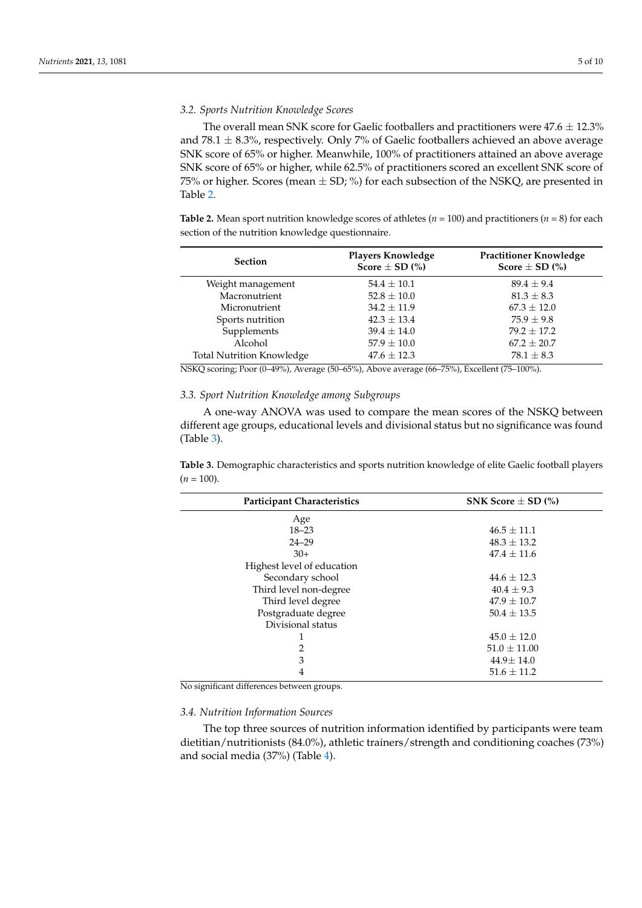## *3.2. Sports Nutrition Knowledge Scores*

The overall mean SNK score for Gaelic footballers and practitioners were  $47.6 \pm 12.3\%$ and 78.1  $\pm$  8.3%, respectively. Only 7% of Gaelic footballers achieved an above average SNK score of 65% or higher. Meanwhile, 100% of practitioners attained an above average SNK score of 65% or higher, while 62.5% of practitioners scored an excellent SNK score of 75% or higher. Scores (mean  $\pm$  SD; %) for each subsection of the NSKQ, are presented in Table [2.](#page-5-0)

<span id="page-5-0"></span>**Table 2.** Mean sport nutrition knowledge scores of athletes ( $n = 100$ ) and practitioners ( $n = 8$ ) for each section of the nutrition knowledge questionnaire.

| <b>Section</b>                   | <b>Players Knowledge</b><br>Score $\pm$ SD $\left(\% \right)$ | <b>Practitioner Knowledge</b><br>Score $\pm$ SD $\left(\% \right)$ |
|----------------------------------|---------------------------------------------------------------|--------------------------------------------------------------------|
| Weight management                | $54.4 \pm 10.1$                                               | $89.4 + 9.4$                                                       |
| Macronutrient                    | $52.8 \pm 10.0$                                               | $81.3 \pm 8.3$                                                     |
| Micronutrient                    | $34.2 \pm 11.9$                                               | $67.3 \pm 12.0$                                                    |
| Sports nutrition                 | $42.3 \pm 13.4$                                               | $75.9 \pm 9.8$                                                     |
| Supplements                      | $39.4 \pm 14.0$                                               | $79.2 \pm 17.2$                                                    |
| Alcohol                          | $57.9 \pm 10.0$                                               | $67.2 \pm 20.7$                                                    |
| <b>Total Nutrition Knowledge</b> | $47.6 \pm 12.3$                                               | $78.1 \pm 8.3$                                                     |

NSKQ scoring; Poor (0–49%), Average (50–65%), Above average (66–75%), Excellent (75–100%).

## *3.3. Sport Nutrition Knowledge among Subgroups*

A one-way ANOVA was used to compare the mean scores of the NSKQ between different age groups, educational levels and divisional status but no significance was found (Table [3\)](#page-5-1).

<span id="page-5-1"></span>**Table 3.** Demographic characteristics and sports nutrition knowledge of elite Gaelic football players  $(n = 100)$ .

| <b>Participant Characteristics</b> | SNK Score $\pm$ SD $\left(\% \right)$ |
|------------------------------------|---------------------------------------|
| Age                                |                                       |
| $18 - 23$                          | $46.5 \pm 11.1$                       |
| $24 - 29$                          | $48.3 \pm 13.2$                       |
| $30+$                              | $47.4 \pm 11.6$                       |
| Highest level of education         |                                       |
| Secondary school                   | $44.6 + 12.3$                         |
| Third level non-degree             | $40.4 \pm 9.3$                        |
| Third level degree                 | $47.9 \pm 10.7$                       |
| Postgraduate degree                | $50.4 \pm 13.5$                       |
| Divisional status                  |                                       |
|                                    | $45.0 \pm 12.0$                       |
| 2                                  | $51.0 \pm 11.00$                      |
| 3                                  | $44.9 \pm 14.0$                       |
| 4                                  | $51.6 \pm 11.2$                       |

No significant differences between groups.

## *3.4. Nutrition Information Sources*

The top three sources of nutrition information identified by participants were team dietitian/nutritionists (84.0%), athletic trainers/strength and conditioning coaches (73%) and social media (37%) (Table [4\)](#page-6-0).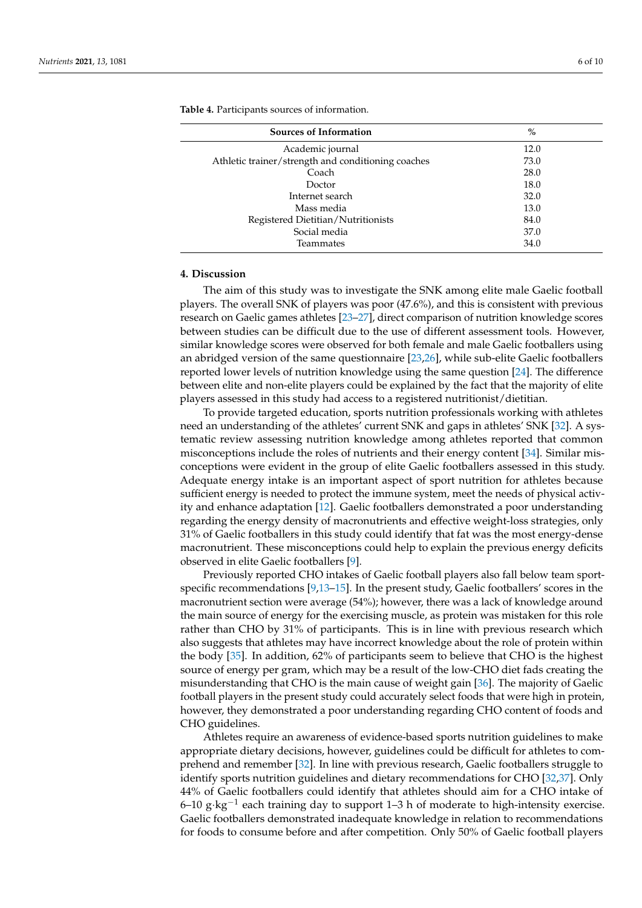| <b>Sources of Information</b>                      | $\%$ |
|----------------------------------------------------|------|
| Academic journal                                   | 12.0 |
| Athletic trainer/strength and conditioning coaches | 73.0 |
| Coach                                              | 28.0 |
| Doctor                                             | 18.0 |
| Internet search                                    | 32.0 |
| Mass media                                         | 13.0 |
| Registered Dietitian/Nutritionists                 | 84.0 |
| Social media                                       | 37.0 |
| Teammates                                          | 34.0 |

<span id="page-6-0"></span>**Table 4.** Participants sources of information.

## **4. Discussion**

The aim of this study was to investigate the SNK among elite male Gaelic football players. The overall SNK of players was poor (47.6%), and this is consistent with previous research on Gaelic games athletes [\[23](#page-9-20)[–27\]](#page-10-2), direct comparison of nutrition knowledge scores between studies can be difficult due to the use of different assessment tools. However, similar knowledge scores were observed for both female and male Gaelic footballers using an abridged version of the same questionnaire [\[23,](#page-9-20)[26\]](#page-10-1), while sub-elite Gaelic footballers reported lower levels of nutrition knowledge using the same question [\[24\]](#page-10-3). The difference between elite and non-elite players could be explained by the fact that the majority of elite players assessed in this study had access to a registered nutritionist/dietitian.

To provide targeted education, sports nutrition professionals working with athletes need an understanding of the athletes' current SNK and gaps in athletes' SNK [\[32\]](#page-10-8). A systematic review assessing nutrition knowledge among athletes reported that common misconceptions include the roles of nutrients and their energy content [\[34\]](#page-10-10). Similar misconceptions were evident in the group of elite Gaelic footballers assessed in this study. Adequate energy intake is an important aspect of sport nutrition for athletes because sufficient energy is needed to protect the immune system, meet the needs of physical activity and enhance adaptation [\[12\]](#page-9-9). Gaelic footballers demonstrated a poor understanding regarding the energy density of macronutrients and effective weight-loss strategies, only 31% of Gaelic footballers in this study could identify that fat was the most energy-dense macronutrient. These misconceptions could help to explain the previous energy deficits observed in elite Gaelic footballers [\[9\]](#page-9-6).

Previously reported CHO intakes of Gaelic football players also fall below team sportspecific recommendations [\[9,](#page-9-6)[13–](#page-9-10)[15\]](#page-9-12). In the present study, Gaelic footballers' scores in the macronutrient section were average (54%); however, there was a lack of knowledge around the main source of energy for the exercising muscle, as protein was mistaken for this role rather than CHO by 31% of participants. This is in line with previous research which also suggests that athletes may have incorrect knowledge about the role of protein within the body [\[35\]](#page-10-11). In addition, 62% of participants seem to believe that CHO is the highest source of energy per gram, which may be a result of the low-CHO diet fads creating the misunderstanding that CHO is the main cause of weight gain [\[36\]](#page-10-12). The majority of Gaelic football players in the present study could accurately select foods that were high in protein, however, they demonstrated a poor understanding regarding CHO content of foods and CHO guidelines.

Athletes require an awareness of evidence-based sports nutrition guidelines to make appropriate dietary decisions, however, guidelines could be difficult for athletes to comprehend and remember [\[32\]](#page-10-8). In line with previous research, Gaelic footballers struggle to identify sports nutrition guidelines and dietary recommendations for CHO [\[32](#page-10-8)[,37\]](#page-10-13). Only 44% of Gaelic footballers could identify that athletes should aim for a CHO intake of 6–10 g⋅kg<sup>-1</sup> each training day to support 1–3 h of moderate to high-intensity exercise. Gaelic footballers demonstrated inadequate knowledge in relation to recommendations for foods to consume before and after competition. Only 50% of Gaelic football players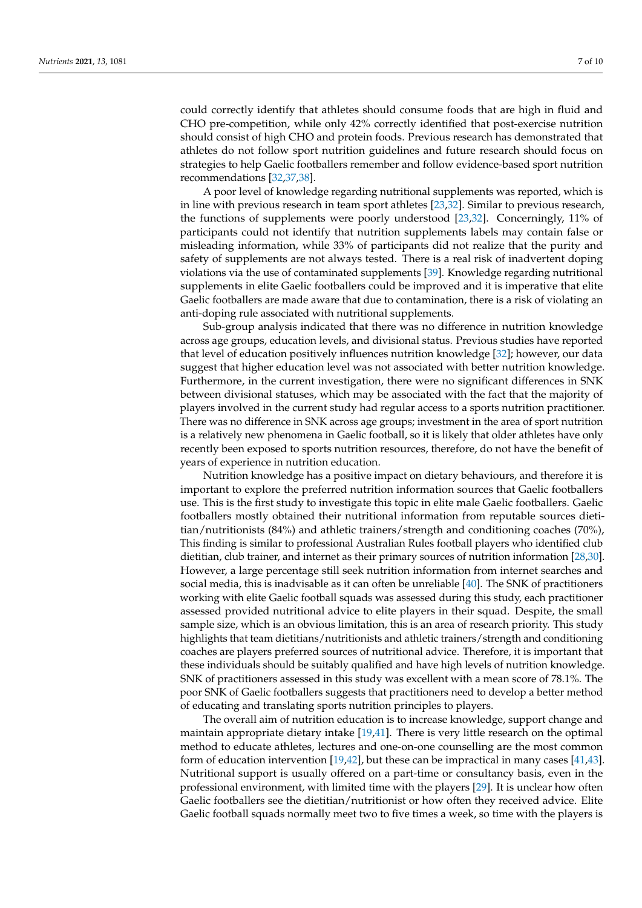could correctly identify that athletes should consume foods that are high in fluid and CHO pre-competition, while only 42% correctly identified that post-exercise nutrition should consist of high CHO and protein foods. Previous research has demonstrated that athletes do not follow sport nutrition guidelines and future research should focus on strategies to help Gaelic footballers remember and follow evidence-based sport nutrition recommendations [\[32](#page-10-8)[,37,](#page-10-13)[38\]](#page-10-14).

A poor level of knowledge regarding nutritional supplements was reported, which is in line with previous research in team sport athletes [\[23,](#page-9-20)[32\]](#page-10-8). Similar to previous research, the functions of supplements were poorly understood [\[23,](#page-9-20)[32\]](#page-10-8). Concerningly, 11% of participants could not identify that nutrition supplements labels may contain false or misleading information, while 33% of participants did not realize that the purity and safety of supplements are not always tested. There is a real risk of inadvertent doping violations via the use of contaminated supplements [\[39\]](#page-10-15). Knowledge regarding nutritional supplements in elite Gaelic footballers could be improved and it is imperative that elite Gaelic footballers are made aware that due to contamination, there is a risk of violating an anti-doping rule associated with nutritional supplements.

Sub-group analysis indicated that there was no difference in nutrition knowledge across age groups, education levels, and divisional status. Previous studies have reported that level of education positively influences nutrition knowledge [\[32\]](#page-10-8); however, our data suggest that higher education level was not associated with better nutrition knowledge. Furthermore, in the current investigation, there were no significant differences in SNK between divisional statuses, which may be associated with the fact that the majority of players involved in the current study had regular access to a sports nutrition practitioner. There was no difference in SNK across age groups; investment in the area of sport nutrition is a relatively new phenomena in Gaelic football, so it is likely that older athletes have only recently been exposed to sports nutrition resources, therefore, do not have the benefit of years of experience in nutrition education.

Nutrition knowledge has a positive impact on dietary behaviours, and therefore it is important to explore the preferred nutrition information sources that Gaelic footballers use. This is the first study to investigate this topic in elite male Gaelic footballers. Gaelic footballers mostly obtained their nutritional information from reputable sources dietitian/nutritionists (84%) and athletic trainers/strength and conditioning coaches (70%), This finding is similar to professional Australian Rules football players who identified club dietitian, club trainer, and internet as their primary sources of nutrition information [\[28](#page-10-4)[,30\]](#page-10-6). However, a large percentage still seek nutrition information from internet searches and social media, this is inadvisable as it can often be unreliable [\[40\]](#page-10-16). The SNK of practitioners working with elite Gaelic football squads was assessed during this study, each practitioner assessed provided nutritional advice to elite players in their squad. Despite, the small sample size, which is an obvious limitation, this is an area of research priority. This study highlights that team dietitians/nutritionists and athletic trainers/strength and conditioning coaches are players preferred sources of nutritional advice. Therefore, it is important that these individuals should be suitably qualified and have high levels of nutrition knowledge. SNK of practitioners assessed in this study was excellent with a mean score of 78.1%. The poor SNK of Gaelic footballers suggests that practitioners need to develop a better method of educating and translating sports nutrition principles to players.

The overall aim of nutrition education is to increase knowledge, support change and maintain appropriate dietary intake [\[19,](#page-9-16)[41\]](#page-10-17). There is very little research on the optimal method to educate athletes, lectures and one-on-one counselling are the most common form of education intervention [\[19,](#page-9-16)[42\]](#page-10-18), but these can be impractical in many cases [\[41,](#page-10-17)[43\]](#page-10-19). Nutritional support is usually offered on a part-time or consultancy basis, even in the professional environment, with limited time with the players [\[29\]](#page-10-5). It is unclear how often Gaelic footballers see the dietitian/nutritionist or how often they received advice. Elite Gaelic football squads normally meet two to five times a week, so time with the players is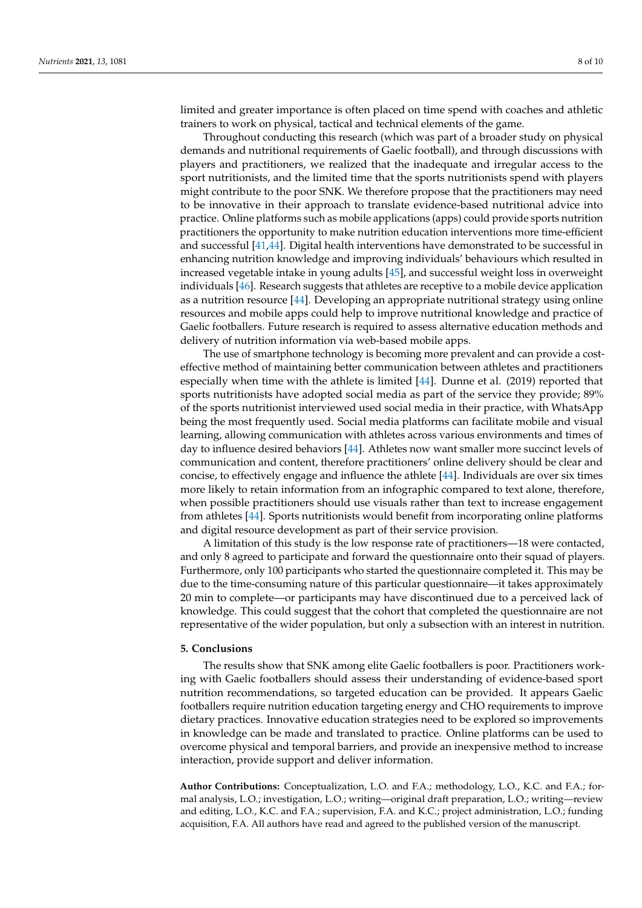limited and greater importance is often placed on time spend with coaches and athletic trainers to work on physical, tactical and technical elements of the game.

Throughout conducting this research (which was part of a broader study on physical demands and nutritional requirements of Gaelic football), and through discussions with players and practitioners, we realized that the inadequate and irregular access to the sport nutritionists, and the limited time that the sports nutritionists spend with players might contribute to the poor SNK. We therefore propose that the practitioners may need to be innovative in their approach to translate evidence-based nutritional advice into practice. Online platforms such as mobile applications (apps) could provide sports nutrition practitioners the opportunity to make nutrition education interventions more time-efficient and successful [\[41](#page-10-17)[,44\]](#page-10-20). Digital health interventions have demonstrated to be successful in enhancing nutrition knowledge and improving individuals' behaviours which resulted in increased vegetable intake in young adults [\[45\]](#page-10-21), and successful weight loss in overweight individuals [\[46\]](#page-10-22). Research suggests that athletes are receptive to a mobile device application as a nutrition resource [\[44\]](#page-10-20). Developing an appropriate nutritional strategy using online resources and mobile apps could help to improve nutritional knowledge and practice of Gaelic footballers. Future research is required to assess alternative education methods and delivery of nutrition information via web-based mobile apps.

The use of smartphone technology is becoming more prevalent and can provide a costeffective method of maintaining better communication between athletes and practitioners especially when time with the athlete is limited [\[44\]](#page-10-20). Dunne et al. (2019) reported that sports nutritionists have adopted social media as part of the service they provide; 89% of the sports nutritionist interviewed used social media in their practice, with WhatsApp being the most frequently used. Social media platforms can facilitate mobile and visual learning, allowing communication with athletes across various environments and times of day to influence desired behaviors [\[44\]](#page-10-20). Athletes now want smaller more succinct levels of communication and content, therefore practitioners' online delivery should be clear and concise, to effectively engage and influence the athlete [\[44\]](#page-10-20). Individuals are over six times more likely to retain information from an infographic compared to text alone, therefore, when possible practitioners should use visuals rather than text to increase engagement from athletes [\[44\]](#page-10-20). Sports nutritionists would benefit from incorporating online platforms and digital resource development as part of their service provision.

A limitation of this study is the low response rate of practitioners—18 were contacted, and only 8 agreed to participate and forward the questionnaire onto their squad of players. Furthermore, only 100 participants who started the questionnaire completed it. This may be due to the time-consuming nature of this particular questionnaire—it takes approximately 20 min to complete—or participants may have discontinued due to a perceived lack of knowledge. This could suggest that the cohort that completed the questionnaire are not representative of the wider population, but only a subsection with an interest in nutrition.

#### **5. Conclusions**

The results show that SNK among elite Gaelic footballers is poor. Practitioners working with Gaelic footballers should assess their understanding of evidence-based sport nutrition recommendations, so targeted education can be provided. It appears Gaelic footballers require nutrition education targeting energy and CHO requirements to improve dietary practices. Innovative education strategies need to be explored so improvements in knowledge can be made and translated to practice. Online platforms can be used to overcome physical and temporal barriers, and provide an inexpensive method to increase interaction, provide support and deliver information.

**Author Contributions:** Conceptualization, L.O. and F.A.; methodology, L.O., K.C. and F.A.; formal analysis, L.O.; investigation, L.O.; writing—original draft preparation, L.O.; writing—review and editing, L.O., K.C. and F.A.; supervision, F.A. and K.C.; project administration, L.O.; funding acquisition, F.A. All authors have read and agreed to the published version of the manuscript.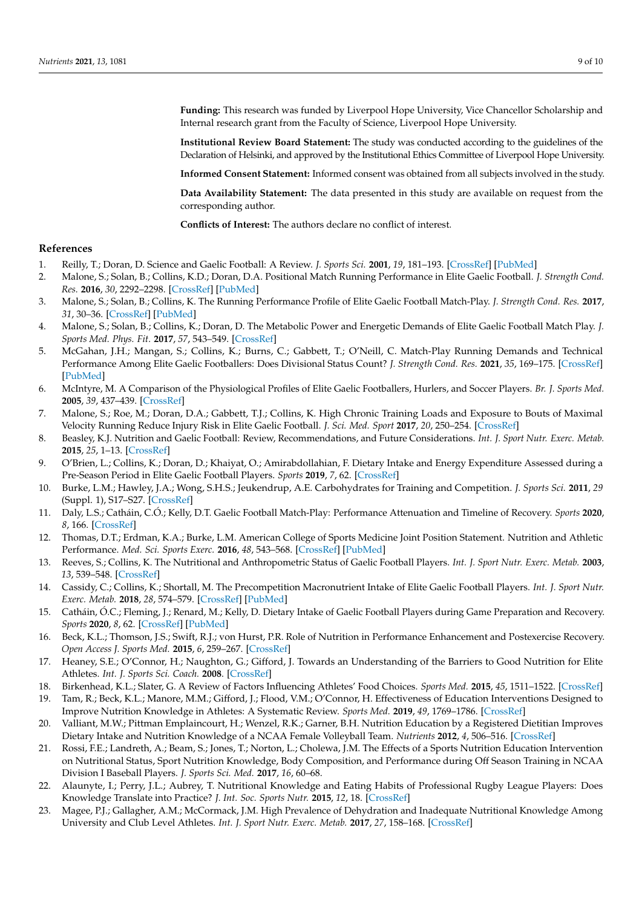**Funding:** This research was funded by Liverpool Hope University, Vice Chancellor Scholarship and Internal research grant from the Faculty of Science, Liverpool Hope University.

**Institutional Review Board Statement:** The study was conducted according to the guidelines of the Declaration of Helsinki, and approved by the Institutional Ethics Committee of Liverpool Hope University.

**Informed Consent Statement:** Informed consent was obtained from all subjects involved in the study.

**Data Availability Statement:** The data presented in this study are available on request from the corresponding author.

**Conflicts of Interest:** The authors declare no conflict of interest.

#### **References**

- <span id="page-9-0"></span>1. Reilly, T.; Doran, D. Science and Gaelic Football: A Review. *J. Sports Sci.* **2001**, *19*, 181–193. [\[CrossRef\]](http://doi.org/10.1080/026404101750095330) [\[PubMed\]](http://www.ncbi.nlm.nih.gov/pubmed/11256823)
- <span id="page-9-1"></span>2. Malone, S.; Solan, B.; Collins, K.D.; Doran, D.A. Positional Match Running Performance in Elite Gaelic Football. *J. Strength Cond. Res.* **2016**, *30*, 2292–2298. [\[CrossRef\]](http://doi.org/10.1519/JSC.0000000000001309) [\[PubMed\]](http://www.ncbi.nlm.nih.gov/pubmed/26694505)
- 3. Malone, S.; Solan, B.; Collins, K. The Running Performance Profile of Elite Gaelic Football Match-Play. *J. Strength Cond. Res.* **2017**, *31*, 30–36. [\[CrossRef\]](http://doi.org/10.1519/JSC.0000000000001477) [\[PubMed\]](http://www.ncbi.nlm.nih.gov/pubmed/27191694)
- 4. Malone, S.; Solan, B.; Collins, K.; Doran, D. The Metabolic Power and Energetic Demands of Elite Gaelic Football Match Play. *J. Sports Med. Phys. Fit.* **2017**, *57*, 543–549. [\[CrossRef\]](http://doi.org/10.23736/S0022-4707.16.06233-2)
- <span id="page-9-2"></span>5. McGahan, J.H.; Mangan, S.; Collins, K.; Burns, C.; Gabbett, T.; O'Neill, C. Match-Play Running Demands and Technical Performance Among Elite Gaelic Footballers: Does Divisional Status Count? *J. Strength Cond. Res.* **2021**, *35*, 169–175. [\[CrossRef\]](http://doi.org/10.1519/JSC.0000000000002450) [\[PubMed\]](http://www.ncbi.nlm.nih.gov/pubmed/29373435)
- <span id="page-9-3"></span>6. McIntyre, M. A Comparison of the Physiological Profiles of Elite Gaelic Footballers, Hurlers, and Soccer Players. *Br. J. Sports Med.* **2005**, *39*, 437–439. [\[CrossRef\]](http://doi.org/10.1136/bjsm.2004.013631)
- <span id="page-9-4"></span>7. Malone, S.; Roe, M.; Doran, D.A.; Gabbett, T.J.; Collins, K. High Chronic Training Loads and Exposure to Bouts of Maximal Velocity Running Reduce Injury Risk in Elite Gaelic Football. *J. Sci. Med. Sport* **2017**, *20*, 250–254. [\[CrossRef\]](http://doi.org/10.1016/j.jsams.2016.08.005)
- <span id="page-9-5"></span>8. Beasley, K.J. Nutrition and Gaelic Football: Review, Recommendations, and Future Considerations. *Int. J. Sport Nutr. Exerc. Metab.* **2015**, *25*, 1–13. [\[CrossRef\]](http://doi.org/10.1123/ijsnem.2013-0214)
- <span id="page-9-6"></span>9. O'Brien, L.; Collins, K.; Doran, D.; Khaiyat, O.; Amirabdollahian, F. Dietary Intake and Energy Expenditure Assessed during a Pre-Season Period in Elite Gaelic Football Players. *Sports* **2019**, *7*, 62. [\[CrossRef\]](http://doi.org/10.3390/sports7030062)
- <span id="page-9-7"></span>10. Burke, L.M.; Hawley, J.A.; Wong, S.H.S.; Jeukendrup, A.E. Carbohydrates for Training and Competition. *J. Sports Sci.* **2011**, *29* (Suppl. 1), S17–S27. [\[CrossRef\]](http://doi.org/10.1080/02640414.2011.585473)
- <span id="page-9-8"></span>11. Daly, L.S.; Catháin, C.Ó.; Kelly, D.T. Gaelic Football Match-Play: Performance Attenuation and Timeline of Recovery. *Sports* **2020**, *8*, 166. [\[CrossRef\]](http://doi.org/10.3390/sports8120166)
- <span id="page-9-9"></span>12. Thomas, D.T.; Erdman, K.A.; Burke, L.M. American College of Sports Medicine Joint Position Statement. Nutrition and Athletic Performance. *Med. Sci. Sports Exerc.* **2016**, *48*, 543–568. [\[CrossRef\]](http://doi.org/10.1249/MSS.0000000000000852) [\[PubMed\]](http://www.ncbi.nlm.nih.gov/pubmed/26891166)
- <span id="page-9-10"></span>13. Reeves, S.; Collins, K. The Nutritional and Anthropometric Status of Gaelic Football Players. *Int. J. Sport Nutr. Exerc. Metab.* **2003**, *13*, 539–548. [\[CrossRef\]](http://doi.org/10.1123/ijsnem.13.4.539)
- <span id="page-9-11"></span>14. Cassidy, C.; Collins, K.; Shortall, M. The Precompetition Macronutrient Intake of Elite Gaelic Football Players. *Int. J. Sport Nutr. Exerc. Metab.* **2018**, *28*, 574–579. [\[CrossRef\]](http://doi.org/10.1123/ijsnem.2017-0292) [\[PubMed\]](http://www.ncbi.nlm.nih.gov/pubmed/29405786)
- <span id="page-9-12"></span>15. Catháin, Ó.C.; Fleming, J.; Renard, M.; Kelly, D. Dietary Intake of Gaelic Football Players during Game Preparation and Recovery. *Sports* **2020**, *8*, 62. [\[CrossRef\]](http://doi.org/10.3390/sports8050062) [\[PubMed\]](http://www.ncbi.nlm.nih.gov/pubmed/32429175)
- <span id="page-9-13"></span>16. Beck, K.L.; Thomson, J.S.; Swift, R.J.; von Hurst, P.R. Role of Nutrition in Performance Enhancement and Postexercise Recovery. *Open Access J. Sports Med.* **2015**, *6*, 259–267. [\[CrossRef\]](http://doi.org/10.2147/OAJSM.S33605)
- <span id="page-9-14"></span>17. Heaney, S.E.; O'Connor, H.; Naughton, G.; Gifford, J. Towards an Understanding of the Barriers to Good Nutrition for Elite Athletes. *Int. J. Sports Sci. Coach.* **2008**. [\[CrossRef\]](http://doi.org/10.1260/174795408786238542)
- <span id="page-9-15"></span>18. Birkenhead, K.L.; Slater, G. A Review of Factors Influencing Athletes' Food Choices. *Sports Med.* **2015**, *45*, 1511–1522. [\[CrossRef\]](http://doi.org/10.1007/s40279-015-0372-1)
- <span id="page-9-16"></span>19. Tam, R.; Beck, K.L.; Manore, M.M.; Gifford, J.; Flood, V.M.; O'Connor, H. Effectiveness of Education Interventions Designed to Improve Nutrition Knowledge in Athletes: A Systematic Review. *Sports Med.* **2019**, *49*, 1769–1786. [\[CrossRef\]](http://doi.org/10.1007/s40279-019-01157-y)
- <span id="page-9-17"></span>20. Valliant, M.W.; Pittman Emplaincourt, H.; Wenzel, R.K.; Garner, B.H. Nutrition Education by a Registered Dietitian Improves Dietary Intake and Nutrition Knowledge of a NCAA Female Volleyball Team. *Nutrients* **2012**, *4*, 506–516. [\[CrossRef\]](http://doi.org/10.3390/nu4060506)
- <span id="page-9-18"></span>21. Rossi, F.E.; Landreth, A.; Beam, S.; Jones, T.; Norton, L.; Cholewa, J.M. The Effects of a Sports Nutrition Education Intervention on Nutritional Status, Sport Nutrition Knowledge, Body Composition, and Performance during Off Season Training in NCAA Division I Baseball Players. *J. Sports Sci. Med.* **2017**, *16*, 60–68.
- <span id="page-9-19"></span>22. Alaunyte, I.; Perry, J.L.; Aubrey, T. Nutritional Knowledge and Eating Habits of Professional Rugby League Players: Does Knowledge Translate into Practice? *J. Int. Soc. Sports Nutr.* **2015**, *12*, 18. [\[CrossRef\]](http://doi.org/10.1186/s12970-015-0082-y)
- <span id="page-9-20"></span>23. Magee, P.J.; Gallagher, A.M.; McCormack, J.M. High Prevalence of Dehydration and Inadequate Nutritional Knowledge Among University and Club Level Athletes. *Int. J. Sport Nutr. Exerc. Metab.* **2017**, *27*, 158–168. [\[CrossRef\]](http://doi.org/10.1123/ijsnem.2016-0053)